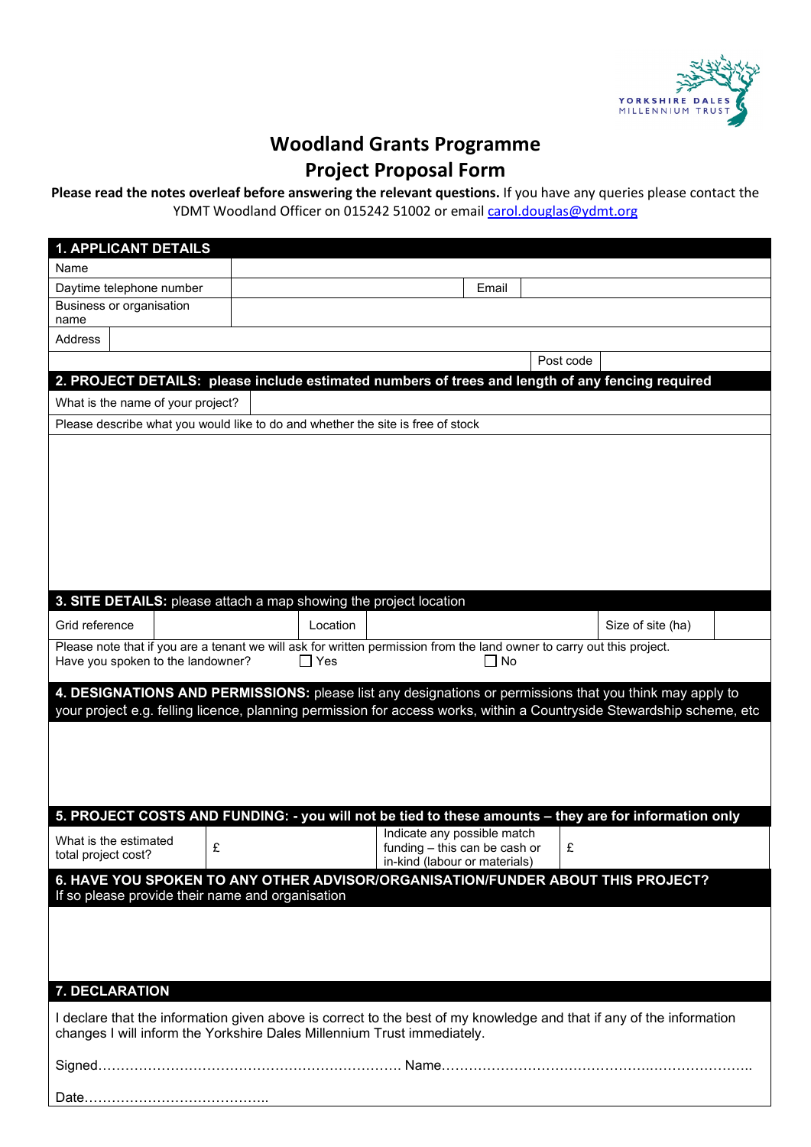

# **Woodland Grants Programme**

# **Project Proposal Form**

## **Please read the notes overleaf before answering the relevant questions.** If you have any queries please contact the YDMT Woodland Officer on 015242 51002 or email [carol.douglas@ydmt.org](mailto:carol.douglas@ydmt.org)

| <b>1. APPLICANT DETAILS</b>                                                                                                                                                                                                       |            |                                                                                               |       |           |                   |  |
|-----------------------------------------------------------------------------------------------------------------------------------------------------------------------------------------------------------------------------------|------------|-----------------------------------------------------------------------------------------------|-------|-----------|-------------------|--|
| Name                                                                                                                                                                                                                              |            |                                                                                               |       |           |                   |  |
| Daytime telephone number                                                                                                                                                                                                          |            |                                                                                               | Email |           |                   |  |
| Business or organisation<br>name                                                                                                                                                                                                  |            |                                                                                               |       |           |                   |  |
| Address                                                                                                                                                                                                                           |            |                                                                                               |       |           |                   |  |
|                                                                                                                                                                                                                                   |            |                                                                                               |       | Post code |                   |  |
| 2. PROJECT DETAILS: please include estimated numbers of trees and length of any fencing required                                                                                                                                  |            |                                                                                               |       |           |                   |  |
| What is the name of your project?                                                                                                                                                                                                 |            |                                                                                               |       |           |                   |  |
| Please describe what you would like to do and whether the site is free of stock                                                                                                                                                   |            |                                                                                               |       |           |                   |  |
|                                                                                                                                                                                                                                   |            |                                                                                               |       |           |                   |  |
| 3. SITE DETAILS: please attach a map showing the project location                                                                                                                                                                 |            |                                                                                               |       |           |                   |  |
| Grid reference                                                                                                                                                                                                                    | Location   |                                                                                               |       |           | Size of site (ha) |  |
| Please note that if you are a tenant we will ask for written permission from the land owner to carry out this project.<br>Have you spoken to the landowner?                                                                       | $\Box$ Yes |                                                                                               | ∩ No  |           |                   |  |
| 4. DESIGNATIONS AND PERMISSIONS: please list any designations or permissions that you think may apply to<br>your project e.g. felling licence, planning permission for access works, within a Countryside Stewardship scheme, etc |            |                                                                                               |       |           |                   |  |
|                                                                                                                                                                                                                                   |            |                                                                                               |       |           |                   |  |
| 5. PROJECT COSTS AND FUNDING: - you will not be tied to these amounts - they are for information only<br>What is the estimated<br>£<br>total project cost?                                                                        |            | Indicate any possible match<br>funding - this can be cash or<br>in-kind (labour or materials) |       | £         |                   |  |
| 6. HAVE YOU SPOKEN TO ANY OTHER ADVISOR/ORGANISATION/FUNDER ABOUT THIS PROJECT?                                                                                                                                                   |            |                                                                                               |       |           |                   |  |
| If so please provide their name and organisation                                                                                                                                                                                  |            |                                                                                               |       |           |                   |  |
| 7. DECLARATION                                                                                                                                                                                                                    |            |                                                                                               |       |           |                   |  |
| I declare that the information given above is correct to the best of my knowledge and that if any of the information<br>changes I will inform the Yorkshire Dales Millennium Trust immediately.                                   |            |                                                                                               |       |           |                   |  |
|                                                                                                                                                                                                                                   |            |                                                                                               |       |           |                   |  |
|                                                                                                                                                                                                                                   |            |                                                                                               |       |           |                   |  |